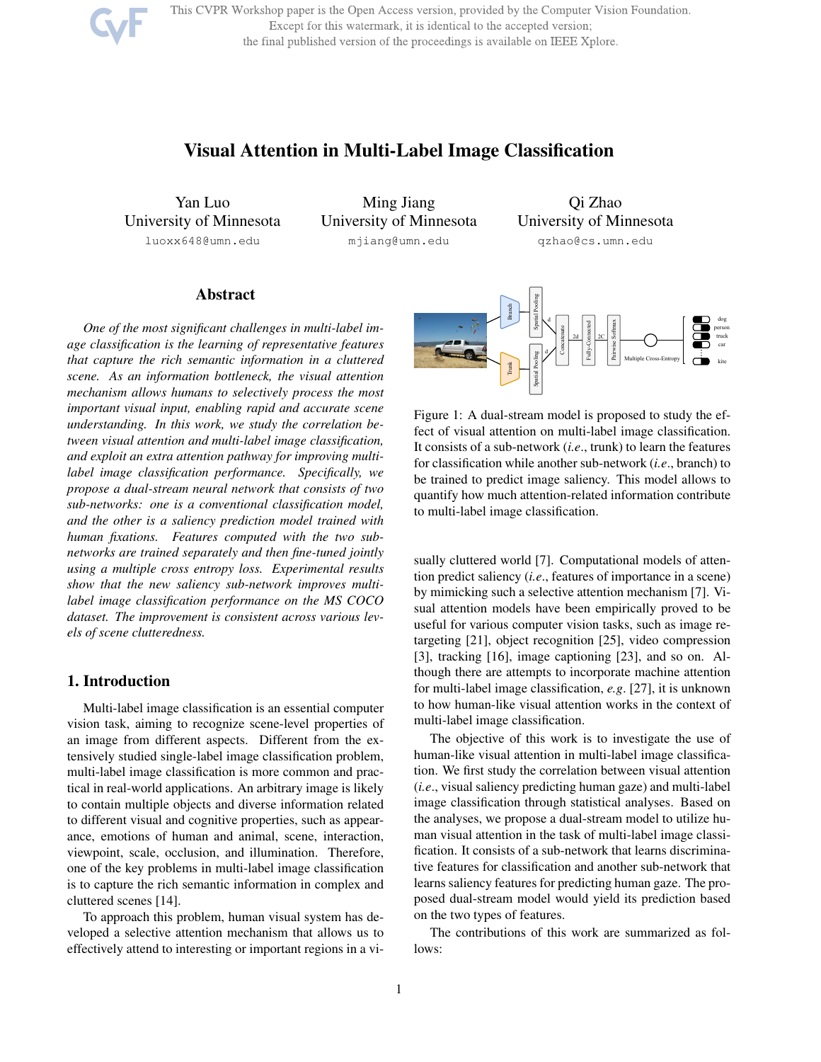This CVPR Workshop paper is the Open Access version, provided by the Computer Vision Foundation. Except for this watermark, it is identical to the accepted version; the final published version of the proceedings is available on IEEE Xplore.

# Visual Attention in Multi-Label Image Classification

Yan Luo University of Minnesota luoxx648@umn.edu

Ming Jiang University of Minnesota mjiang@umn.edu

Qi Zhao University of Minnesota qzhao@cs.umn.edu

# Abstract

*One of the most significant challenges in multi-label image classification is the learning of representative features that capture the rich semantic information in a cluttered scene. As an information bottleneck, the visual attention mechanism allows humans to selectively process the most important visual input, enabling rapid and accurate scene understanding. In this work, we study the correlation between visual attention and multi-label image classification, and exploit an extra attention pathway for improving multilabel image classification performance. Specifically, we propose a dual-stream neural network that consists of two sub-networks: one is a conventional classification model, and the other is a saliency prediction model trained with human fixations. Features computed with the two subnetworks are trained separately and then fine-tuned jointly using a multiple cross entropy loss. Experimental results show that the new saliency sub-network improves multilabel image classification performance on the MS COCO dataset. The improvement is consistent across various levels of scene clutteredness.*

# 1. Introduction

Multi-label image classification is an essential computer vision task, aiming to recognize scene-level properties of an image from different aspects. Different from the extensively studied single-label image classification problem, multi-label image classification is more common and practical in real-world applications. An arbitrary image is likely to contain multiple objects and diverse information related to different visual and cognitive properties, such as appearance, emotions of human and animal, scene, interaction, viewpoint, scale, occlusion, and illumination. Therefore, one of the key problems in multi-label image classification is to capture the rich semantic information in complex and cluttered scenes [14].

To approach this problem, human visual system has developed a selective attention mechanism that allows us to effectively attend to interesting or important regions in a vi-



Figure 1: A dual-stream model is proposed to study the effect of visual attention on multi-label image classification. It consists of a sub-network (*i.e*., trunk) to learn the features for classification while another sub-network (*i.e*., branch) to be trained to predict image saliency. This model allows to quantify how much attention-related information contribute to multi-label image classification.

sually cluttered world [7]. Computational models of attention predict saliency (*i.e*., features of importance in a scene) by mimicking such a selective attention mechanism [7]. Visual attention models have been empirically proved to be useful for various computer vision tasks, such as image retargeting [21], object recognition [25], video compression [3], tracking [16], image captioning [23], and so on. Although there are attempts to incorporate machine attention for multi-label image classification, *e.g*. [27], it is unknown to how human-like visual attention works in the context of multi-label image classification.

The objective of this work is to investigate the use of human-like visual attention in multi-label image classification. We first study the correlation between visual attention (*i.e*., visual saliency predicting human gaze) and multi-label image classification through statistical analyses. Based on the analyses, we propose a dual-stream model to utilize human visual attention in the task of multi-label image classification. It consists of a sub-network that learns discriminative features for classification and another sub-network that learns saliency features for predicting human gaze. The proposed dual-stream model would yield its prediction based on the two types of features.

The contributions of this work are summarized as follows: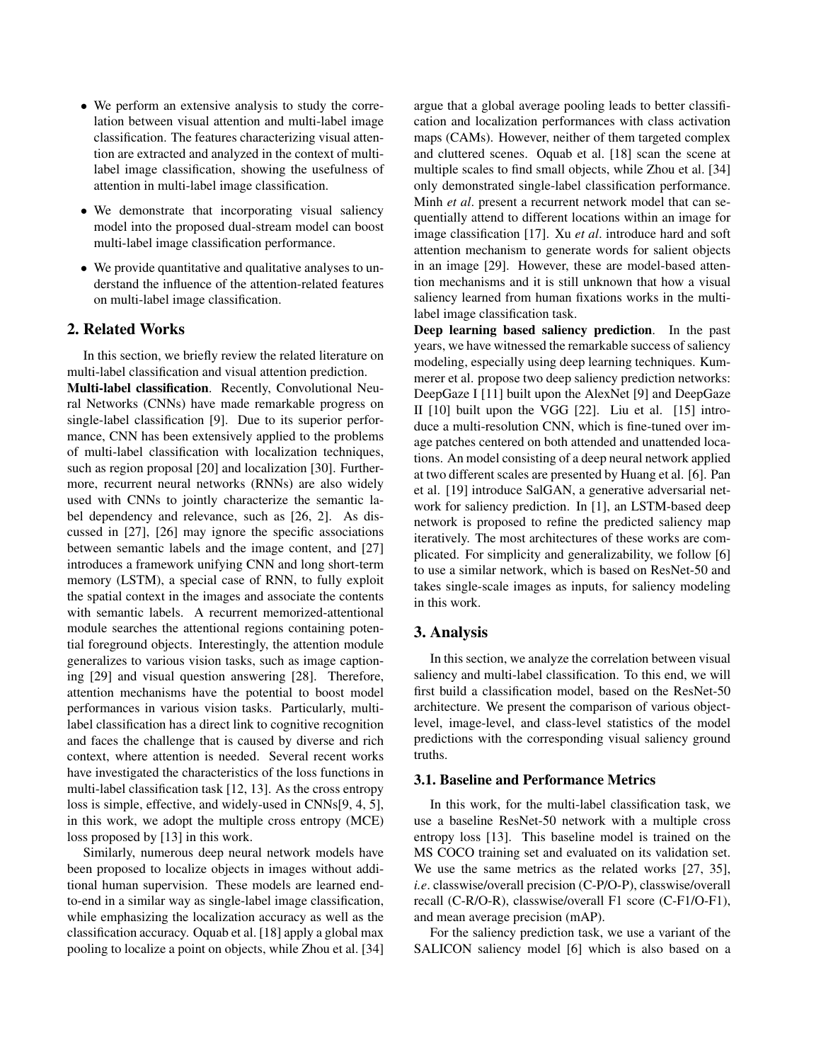- We perform an extensive analysis to study the correlation between visual attention and multi-label image classification. The features characterizing visual attention are extracted and analyzed in the context of multilabel image classification, showing the usefulness of attention in multi-label image classification.
- We demonstrate that incorporating visual saliency model into the proposed dual-stream model can boost multi-label image classification performance.
- We provide quantitative and qualitative analyses to understand the influence of the attention-related features on multi-label image classification.

## 2. Related Works

In this section, we briefly review the related literature on multi-label classification and visual attention prediction. Multi-label classification. Recently, Convolutional Neural Networks (CNNs) have made remarkable progress on single-label classification [9]. Due to its superior performance, CNN has been extensively applied to the problems of multi-label classification with localization techniques, such as region proposal [20] and localization [30]. Furthermore, recurrent neural networks (RNNs) are also widely used with CNNs to jointly characterize the semantic label dependency and relevance, such as [26, 2]. As discussed in [27], [26] may ignore the specific associations between semantic labels and the image content, and [27] introduces a framework unifying CNN and long short-term memory (LSTM), a special case of RNN, to fully exploit the spatial context in the images and associate the contents with semantic labels. A recurrent memorized-attentional module searches the attentional regions containing potential foreground objects. Interestingly, the attention module generalizes to various vision tasks, such as image captioning [29] and visual question answering [28]. Therefore, attention mechanisms have the potential to boost model performances in various vision tasks. Particularly, multilabel classification has a direct link to cognitive recognition and faces the challenge that is caused by diverse and rich context, where attention is needed. Several recent works have investigated the characteristics of the loss functions in multi-label classification task [12, 13]. As the cross entropy loss is simple, effective, and widely-used in CNNs[9, 4, 5], in this work, we adopt the multiple cross entropy (MCE) loss proposed by [13] in this work.

Similarly, numerous deep neural network models have been proposed to localize objects in images without additional human supervision. These models are learned endto-end in a similar way as single-label image classification, while emphasizing the localization accuracy as well as the classification accuracy. Oquab et al. [18] apply a global max pooling to localize a point on objects, while Zhou et al. [34] argue that a global average pooling leads to better classification and localization performances with class activation maps (CAMs). However, neither of them targeted complex and cluttered scenes. Oquab et al. [18] scan the scene at multiple scales to find small objects, while Zhou et al. [34] only demonstrated single-label classification performance. Minh *et al*. present a recurrent network model that can sequentially attend to different locations within an image for image classification [17]. Xu *et al*. introduce hard and soft attention mechanism to generate words for salient objects in an image [29]. However, these are model-based attention mechanisms and it is still unknown that how a visual saliency learned from human fixations works in the multilabel image classification task.

Deep learning based saliency prediction. In the past years, we have witnessed the remarkable success of saliency modeling, especially using deep learning techniques. Kummerer et al. propose two deep saliency prediction networks: DeepGaze I [11] built upon the AlexNet [9] and DeepGaze II [10] built upon the VGG [22]. Liu et al. [15] introduce a multi-resolution CNN, which is fine-tuned over image patches centered on both attended and unattended locations. An model consisting of a deep neural network applied at two different scales are presented by Huang et al. [6]. Pan et al. [19] introduce SalGAN, a generative adversarial network for saliency prediction. In [1], an LSTM-based deep network is proposed to refine the predicted saliency map iteratively. The most architectures of these works are complicated. For simplicity and generalizability, we follow [6] to use a similar network, which is based on ResNet-50 and takes single-scale images as inputs, for saliency modeling in this work.

# 3. Analysis

In this section, we analyze the correlation between visual saliency and multi-label classification. To this end, we will first build a classification model, based on the ResNet-50 architecture. We present the comparison of various objectlevel, image-level, and class-level statistics of the model predictions with the corresponding visual saliency ground truths.

# 3.1. Baseline and Performance Metrics

In this work, for the multi-label classification task, we use a baseline ResNet-50 network with a multiple cross entropy loss [13]. This baseline model is trained on the MS COCO training set and evaluated on its validation set. We use the same metrics as the related works [27, 35], *i.e*. classwise/overall precision (C-P/O-P), classwise/overall recall (C-R/O-R), classwise/overall F1 score (C-F1/O-F1), and mean average precision (mAP).

For the saliency prediction task, we use a variant of the SALICON saliency model [6] which is also based on a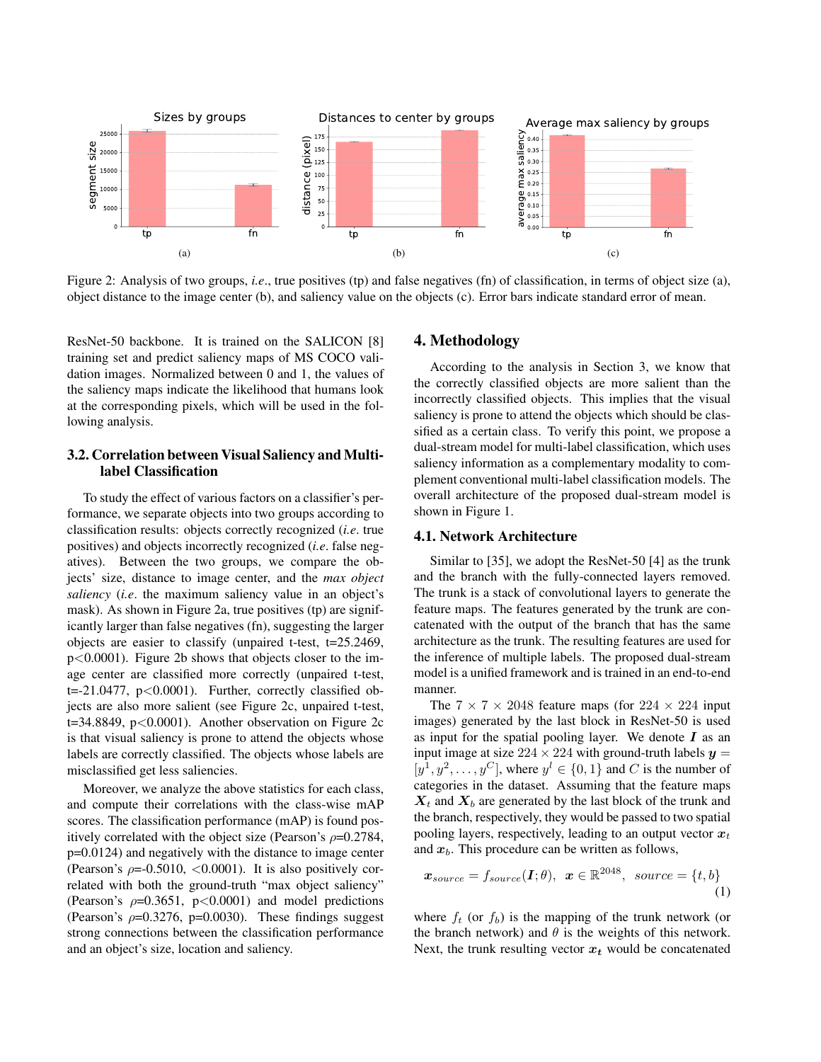

Figure 2: Analysis of two groups, *i.e.*, true positives (tp) and false negatives (fn) of classification, in terms of object size (a), object distance to the image center (b), and saliency value on the objects (c). Error bars indicate standard error of mean.

ResNet-50 backbone. It is trained on the SALICON [8] training set and predict saliency maps of MS COCO validation images. Normalized between 0 and 1, the values of the saliency maps indicate the likelihood that humans look at the corresponding pixels, which will be used in the following analysis.

# 3.2. Correlation between Visual Saliency and Multilabel Classification

To study the effect of various factors on a classifier's performance, we separate objects into two groups according to classification results: objects correctly recognized (*i.e*. true positives) and objects incorrectly recognized (*i.e*. false negatives). Between the two groups, we compare the objects' size, distance to image center, and the *max object saliency* (*i.e*. the maximum saliency value in an object's mask). As shown in Figure 2a, true positives (tp) are significantly larger than false negatives (fn), suggesting the larger objects are easier to classify (unpaired t-test, t=25.2469, p<0.0001). Figure 2b shows that objects closer to the image center are classified more correctly (unpaired t-test, t=-21.0477,  $p<0.0001$ ). Further, correctly classified objects are also more salient (see Figure 2c, unpaired t-test,  $t=34.8849$ ,  $p<0.0001$ ). Another observation on Figure 2c is that visual saliency is prone to attend the objects whose labels are correctly classified. The objects whose labels are misclassified get less saliencies.

Moreover, we analyze the above statistics for each class, and compute their correlations with the class-wise mAP scores. The classification performance (mAP) is found positively correlated with the object size (Pearson's  $\rho$ =0.2784, p=0.0124) and negatively with the distance to image center (Pearson's  $\rho = 0.5010, \langle 0.0001 \rangle$ ). It is also positively correlated with both the ground-truth "max object saliency" (Pearson's  $\rho$ =0.3651, p<0.0001) and model predictions (Pearson's  $\rho$ =0.3276, p=0.0030). These findings suggest strong connections between the classification performance and an object's size, location and saliency.

### 4. Methodology

According to the analysis in Section 3, we know that the correctly classified objects are more salient than the incorrectly classified objects. This implies that the visual saliency is prone to attend the objects which should be classified as a certain class. To verify this point, we propose a dual-stream model for multi-label classification, which uses saliency information as a complementary modality to complement conventional multi-label classification models. The overall architecture of the proposed dual-stream model is shown in Figure 1.

## 4.1. Network Architecture

Similar to [35], we adopt the ResNet-50 [4] as the trunk and the branch with the fully-connected layers removed. The trunk is a stack of convolutional layers to generate the feature maps. The features generated by the trunk are concatenated with the output of the branch that has the same architecture as the trunk. The resulting features are used for the inference of multiple labels. The proposed dual-stream model is a unified framework and is trained in an end-to-end manner.

The  $7 \times 7 \times 2048$  feature maps (for  $224 \times 224$  input images) generated by the last block in ResNet-50 is used as input for the spatial pooling layer. We denote  $I$  as an input image at size  $224 \times 224$  with ground-truth labels  $y =$  $[y^1, y^2, \ldots, y^C]$ , where  $y^l \in \{0, 1\}$  and C is the number of categories in the dataset. Assuming that the feature maps  $X_t$  and  $X_b$  are generated by the last block of the trunk and the branch, respectively, they would be passed to two spatial pooling layers, respectively, leading to an output vector  $x_t$ and  $x_b$ . This procedure can be written as follows,

$$
\boldsymbol{x}_{source} = f_{source}(\boldsymbol{I}; \theta), \ \ \boldsymbol{x} \in \mathbb{R}^{2048}, \ \ source = \{t, b\} \tag{1}
$$

where  $f_t$  (or  $f_b$ ) is the mapping of the trunk network (or the branch network) and  $\theta$  is the weights of this network. Next, the trunk resulting vector  $x_t$  would be concatenated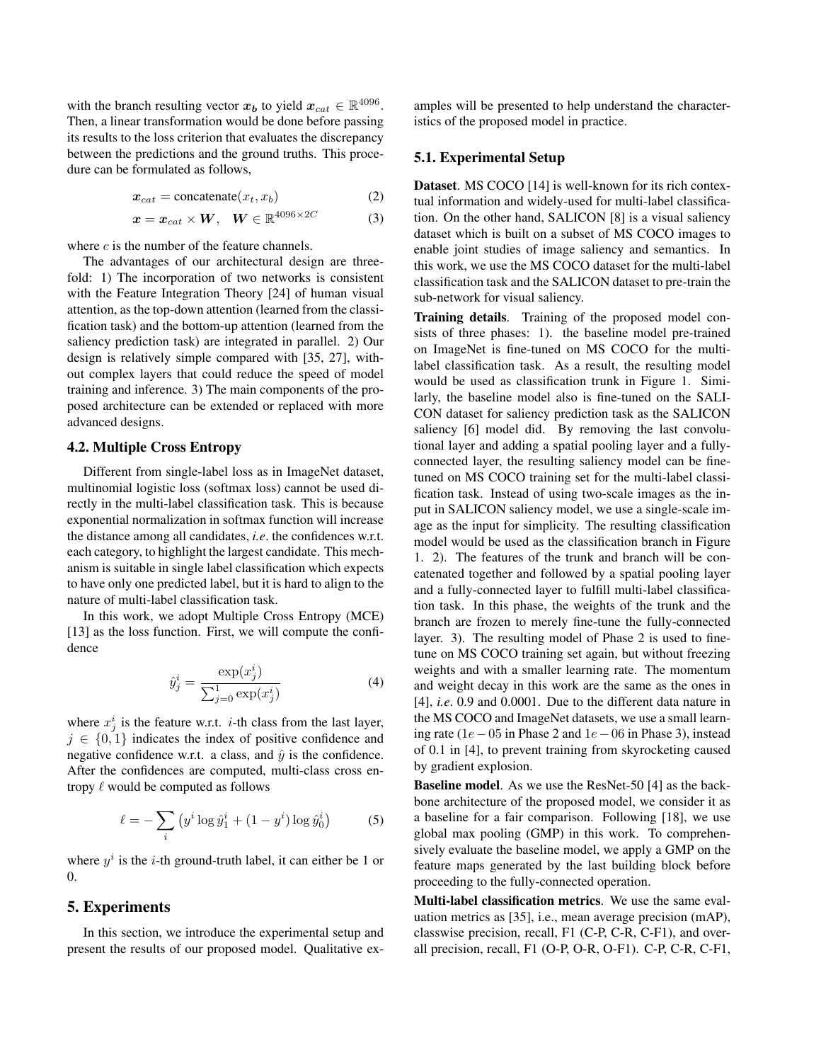with the branch resulting vector  $x_b$  to yield  $x_{cat} \in \mathbb{R}^{4096}$ . Then, a linear transformation would be done before passing its results to the loss criterion that evaluates the discrepancy between the predictions and the ground truths. This procedure can be formulated as follows,

$$
x_{cat} = \text{concatenate}(x_t, x_b) \tag{2}
$$

$$
\boldsymbol{x} = \boldsymbol{x}_{cat} \times \boldsymbol{W}, \quad \boldsymbol{W} \in \mathbb{R}^{4096 \times 2C} \tag{3}
$$

where  $c$  is the number of the feature channels.

The advantages of our architectural design are threefold: 1) The incorporation of two networks is consistent with the Feature Integration Theory [24] of human visual attention, as the top-down attention (learned from the classification task) and the bottom-up attention (learned from the saliency prediction task) are integrated in parallel. 2) Our design is relatively simple compared with [35, 27], without complex layers that could reduce the speed of model training and inference. 3) The main components of the proposed architecture can be extended or replaced with more advanced designs.

#### 4.2. Multiple Cross Entropy

Different from single-label loss as in ImageNet dataset, multinomial logistic loss (softmax loss) cannot be used directly in the multi-label classification task. This is because exponential normalization in softmax function will increase the distance among all candidates, *i.e*. the confidences w.r.t. each category, to highlight the largest candidate. This mechanism is suitable in single label classification which expects to have only one predicted label, but it is hard to align to the nature of multi-label classification task.

In this work, we adopt Multiple Cross Entropy (MCE) [13] as the loss function. First, we will compute the confidence

$$
\hat{y}_j^i = \frac{\exp(x_j^i)}{\sum_{j=0}^1 \exp(x_j^i)}\tag{4}
$$

where  $x_j^i$  is the feature w.r.t. *i*-th class from the last layer,  $j \in \{0, 1\}$  indicates the index of positive confidence and negative confidence w.r.t. a class, and  $\hat{y}$  is the confidence. After the confidences are computed, multi-class cross entropy  $\ell$  would be computed as follows

$$
\ell = -\sum_{i} \left( y^{i} \log \hat{y}_{1}^{i} + (1 - y^{i}) \log \hat{y}_{0}^{i} \right) \tag{5}
$$

where  $y^i$  is the *i*-th ground-truth label, it can either be 1 or 0.

# 5. Experiments

In this section, we introduce the experimental setup and present the results of our proposed model. Qualitative examples will be presented to help understand the characteristics of the proposed model in practice.

### 5.1. Experimental Setup

Dataset. MS COCO [14] is well-known for its rich contextual information and widely-used for multi-label classification. On the other hand, SALICON [8] is a visual saliency dataset which is built on a subset of MS COCO images to enable joint studies of image saliency and semantics. In this work, we use the MS COCO dataset for the multi-label classification task and the SALICON dataset to pre-train the sub-network for visual saliency.

Training details. Training of the proposed model consists of three phases: 1). the baseline model pre-trained on ImageNet is fine-tuned on MS COCO for the multilabel classification task. As a result, the resulting model would be used as classification trunk in Figure 1. Similarly, the baseline model also is fine-tuned on the SALI-CON dataset for saliency prediction task as the SALICON saliency [6] model did. By removing the last convolutional layer and adding a spatial pooling layer and a fullyconnected layer, the resulting saliency model can be finetuned on MS COCO training set for the multi-label classification task. Instead of using two-scale images as the input in SALICON saliency model, we use a single-scale image as the input for simplicity. The resulting classification model would be used as the classification branch in Figure 1. 2). The features of the trunk and branch will be concatenated together and followed by a spatial pooling layer and a fully-connected layer to fulfill multi-label classification task. In this phase, the weights of the trunk and the branch are frozen to merely fine-tune the fully-connected layer. 3). The resulting model of Phase 2 is used to finetune on MS COCO training set again, but without freezing weights and with a smaller learning rate. The momentum and weight decay in this work are the same as the ones in [4], *i.e*. 0.9 and 0.0001. Due to the different data nature in the MS COCO and ImageNet datasets, we use a small learning rate (1e−05 in Phase 2 and 1e−06 in Phase 3), instead of 0.1 in [4], to prevent training from skyrocketing caused by gradient explosion.

Baseline model. As we use the ResNet-50 [4] as the backbone architecture of the proposed model, we consider it as a baseline for a fair comparison. Following [18], we use global max pooling (GMP) in this work. To comprehensively evaluate the baseline model, we apply a GMP on the feature maps generated by the last building block before proceeding to the fully-connected operation.

Multi-label classification metrics. We use the same evaluation metrics as [35], i.e., mean average precision (mAP), classwise precision, recall, F1 (C-P, C-R, C-F1), and overall precision, recall, F1 (O-P, O-R, O-F1). C-P, C-R, C-F1,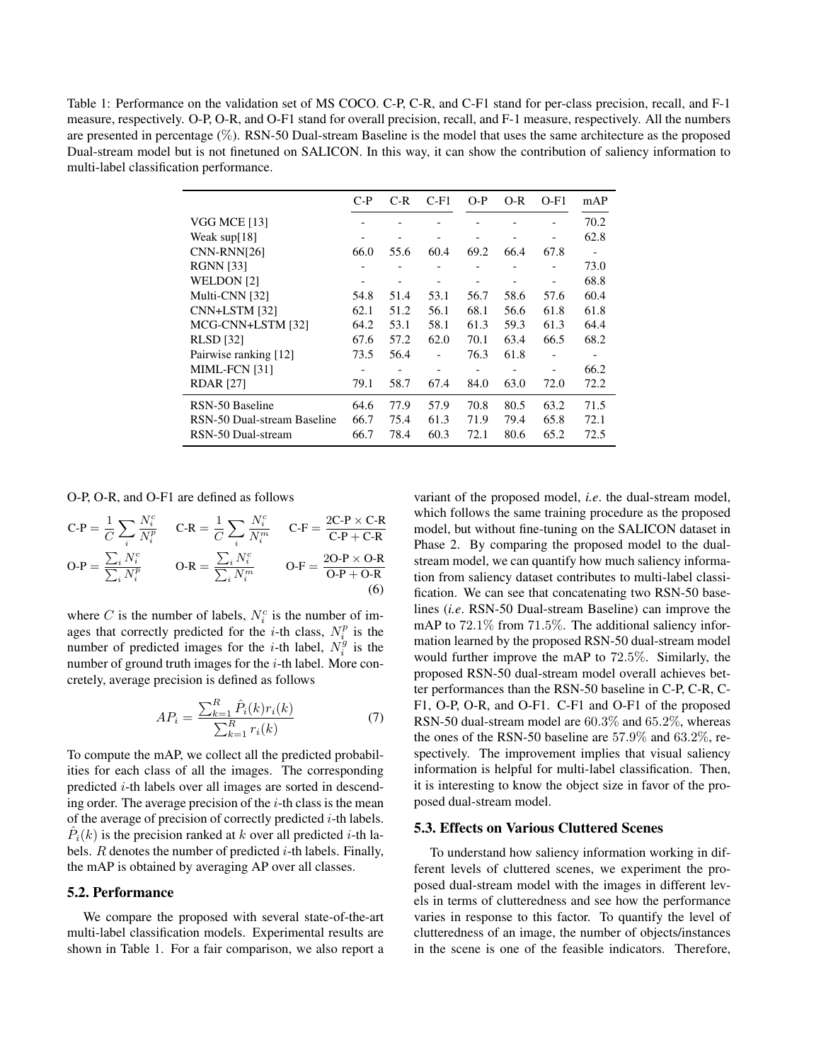Table 1: Performance on the validation set of MS COCO. C-P, C-R, and C-F1 stand for per-class precision, recall, and F-1 measure, respectively. O-P, O-R, and O-F1 stand for overall precision, recall, and F-1 measure, respectively. All the numbers are presented in percentage (%). RSN-50 Dual-stream Baseline is the model that uses the same architecture as the proposed Dual-stream model but is not finetuned on SALICON. In this way, it can show the contribution of saliency information to multi-label classification performance.

|                             | $C-P$                        | $C-R$                    | $C-F1$          | $O-P$                    | $O-R$           | $O-F1$                       | mAP  |
|-----------------------------|------------------------------|--------------------------|-----------------|--------------------------|-----------------|------------------------------|------|
| VGG MCE [13]                |                              |                          |                 |                          |                 |                              | 70.2 |
| Weak $\sup[18]$             |                              |                          |                 |                          |                 |                              | 62.8 |
| CNN-RNN[26]                 | 66.0                         | 55.6                     | 60.4            | 69.2                     | 66.4            | 67.8                         |      |
| <b>RGNN</b> [33]            |                              |                          |                 |                          |                 |                              | 73.0 |
| WELDON [2]                  |                              |                          |                 |                          |                 | -                            | 68.8 |
| Multi-CNN [32]              | 54.8                         | 51.4                     | 53.1            | 56.7                     | 58.6            | 57.6                         | 60.4 |
| CNN+LSTM [32]               | 62.1                         | 51.2                     | 56.1            | 68.1                     | 56.6            | 61.8                         | 61.8 |
| MCG-CNN+LSTM [32]           | 64.2                         | 53.1                     | 58.1            | 61.3                     | 59.3            | 61.3                         | 64.4 |
| <b>RLSD</b> [32]            | 67.6                         | 57.2                     | 62.0            | 70.1                     | 63.4            | 66.5                         | 68.2 |
| Pairwise ranking [12]       | 73.5                         | 56.4                     |                 | 76.3                     | 61.8            | $\qquad \qquad \blacksquare$ |      |
| MIML-FCN [31]               | $\qquad \qquad \blacksquare$ | $\overline{\phantom{a}}$ | $\qquad \qquad$ | $\overline{\phantom{a}}$ | $\qquad \qquad$ | $\qquad \qquad \blacksquare$ | 66.2 |
| <b>RDAR</b> [27]            | 79.1                         | 58.7                     | 67.4            | 84.0                     | 63.0            | 72.0                         | 72.2 |
| RSN-50 Baseline             | 64.6                         | 77.9                     | 57.9            | 70.8                     | 80.5            | 63.2                         | 71.5 |
| RSN-50 Dual-stream Baseline | 66.7                         | 75.4                     | 61.3            | 71.9                     | 79.4            | 65.8                         | 72.1 |
| RSN-50 Dual-stream          | 66.7                         | 78.4                     | 60.3            | 72.1                     | 80.6            | 65.2                         | 72.5 |

O-P, O-R, and O-F1 are defined as follows

$$
C\text{-}P = \frac{1}{C} \sum_{i} \frac{N_i^c}{N_i^p} \qquad C\text{-}R = \frac{1}{C} \sum_{i} \frac{N_i^c}{N_i^m} \qquad C\text{-}F = \frac{2C\text{-}P \times C\text{-}R}{C\text{-}P + C\text{-}R}
$$
\n
$$
O\text{-}P = \frac{\sum_{i} N_i^c}{\sum_{i} N_i^p} \qquad O\text{-}R = \frac{\sum_{i} N_i^c}{\sum_{i} N_i^m} \qquad O\text{-}F = \frac{2O\text{-}P \times O\text{-}R}{O\text{-}P + O\text{-}R}
$$
\n
$$
(6)
$$

where C is the number of labels,  $N_i^c$  is the number of images that correctly predicted for the *i*-th class,  $N_i^p$  is the number of predicted images for the *i*-th label,  $N_i^g$  is the number of ground truth images for the *i*-th label. More concretely, average precision is defined as follows

$$
AP_i = \frac{\sum_{k=1}^{R} \hat{P}_i(k)r_i(k)}{\sum_{k=1}^{R} r_i(k)}
$$
(7)

To compute the mAP, we collect all the predicted probabilities for each class of all the images. The corresponding predicted i-th labels over all images are sorted in descending order. The average precision of the  $i$ -th class is the mean of the average of precision of correctly predicted  $i$ -th labels.  $\hat{P}_i(k)$  is the precision ranked at k over all predicted i-th labels.  $R$  denotes the number of predicted  $i$ -th labels. Finally, the mAP is obtained by averaging AP over all classes.

### 5.2. Performance

We compare the proposed with several state-of-the-art multi-label classification models. Experimental results are shown in Table 1. For a fair comparison, we also report a variant of the proposed model, *i.e*. the dual-stream model, which follows the same training procedure as the proposed model, but without fine-tuning on the SALICON dataset in Phase 2. By comparing the proposed model to the dualstream model, we can quantify how much saliency information from saliency dataset contributes to multi-label classification. We can see that concatenating two RSN-50 baselines (*i.e*. RSN-50 Dual-stream Baseline) can improve the mAP to 72.1% from 71.5%. The additional saliency information learned by the proposed RSN-50 dual-stream model would further improve the mAP to 72.5%. Similarly, the proposed RSN-50 dual-stream model overall achieves better performances than the RSN-50 baseline in C-P, C-R, C-F1, O-P, O-R, and O-F1. C-F1 and O-F1 of the proposed RSN-50 dual-stream model are 60.3% and 65.2%, whereas the ones of the RSN-50 baseline are 57.9% and 63.2%, respectively. The improvement implies that visual saliency information is helpful for multi-label classification. Then, it is interesting to know the object size in favor of the proposed dual-stream model.

#### 5.3. Effects on Various Cluttered Scenes

To understand how saliency information working in different levels of cluttered scenes, we experiment the proposed dual-stream model with the images in different levels in terms of clutteredness and see how the performance varies in response to this factor. To quantify the level of clutteredness of an image, the number of objects/instances in the scene is one of the feasible indicators. Therefore,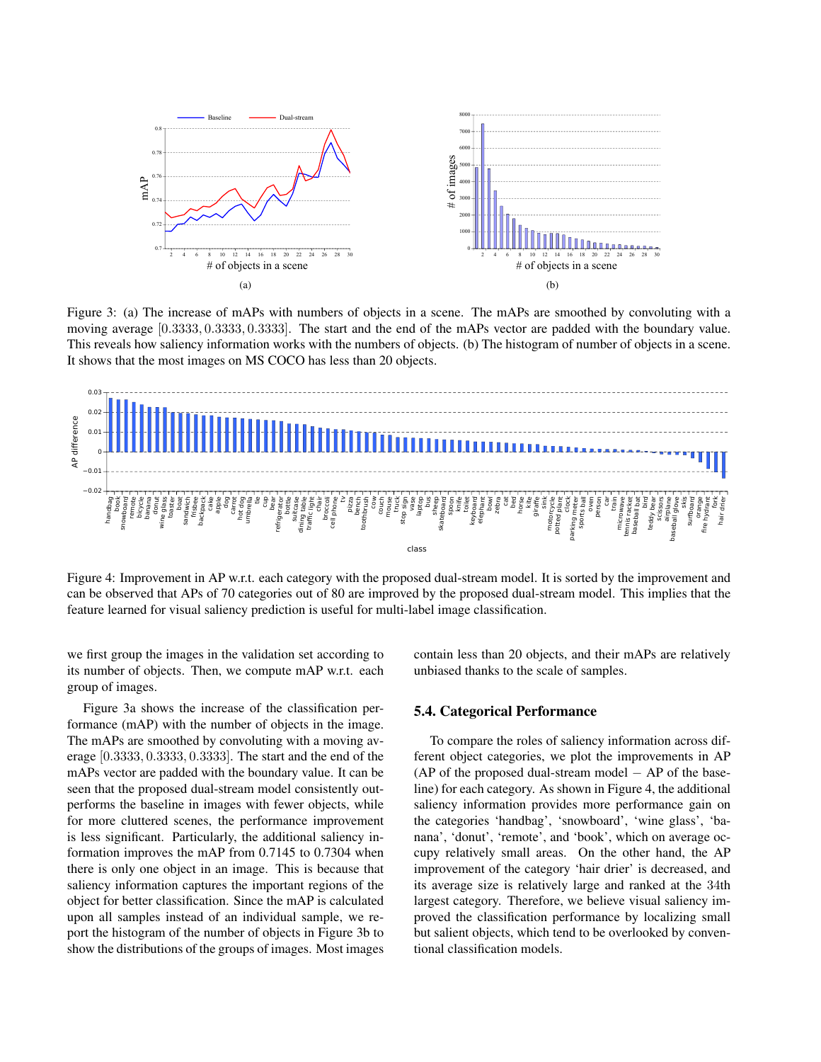

Figure 3: (a) The increase of mAPs with numbers of objects in a scene. The mAPs are smoothed by convoluting with a moving average [0.3333, 0.3333, 0.3333]. The start and the end of the mAPs vector are padded with the boundary value. This reveals how saliency information works with the numbers of objects. (b) The histogram of number of objects in a scene. It shows that the most images on MS COCO has less than 20 objects.



Figure 4: Improvement in AP w.r.t. each category with the proposed dual-stream model. It is sorted by the improvement and can be observed that APs of 70 categories out of 80 are improved by the proposed dual-stream model. This implies that the feature learned for visual saliency prediction is useful for multi-label image classification.

we first group the images in the validation set according to its number of objects. Then, we compute mAP w.r.t. each group of images.

Figure 3a shows the increase of the classification performance (mAP) with the number of objects in the image. The mAPs are smoothed by convoluting with a moving average [0.3333, 0.3333, 0.3333]. The start and the end of the mAPs vector are padded with the boundary value. It can be seen that the proposed dual-stream model consistently outperforms the baseline in images with fewer objects, while for more cluttered scenes, the performance improvement is less significant. Particularly, the additional saliency information improves the mAP from 0.7145 to 0.7304 when there is only one object in an image. This is because that saliency information captures the important regions of the object for better classification. Since the mAP is calculated upon all samples instead of an individual sample, we report the histogram of the number of objects in Figure 3b to show the distributions of the groups of images. Most images

contain less than 20 objects, and their mAPs are relatively unbiased thanks to the scale of samples.

#### 5.4. Categorical Performance

To compare the roles of saliency information across different object categories, we plot the improvements in AP (AP of the proposed dual-stream model  $-$  AP of the baseline) for each category. As shown in Figure 4, the additional saliency information provides more performance gain on the categories 'handbag', 'snowboard', 'wine glass', 'banana', 'donut', 'remote', and 'book', which on average occupy relatively small areas. On the other hand, the AP improvement of the category 'hair drier' is decreased, and its average size is relatively large and ranked at the 34th largest category. Therefore, we believe visual saliency improved the classification performance by localizing small but salient objects, which tend to be overlooked by conventional classification models.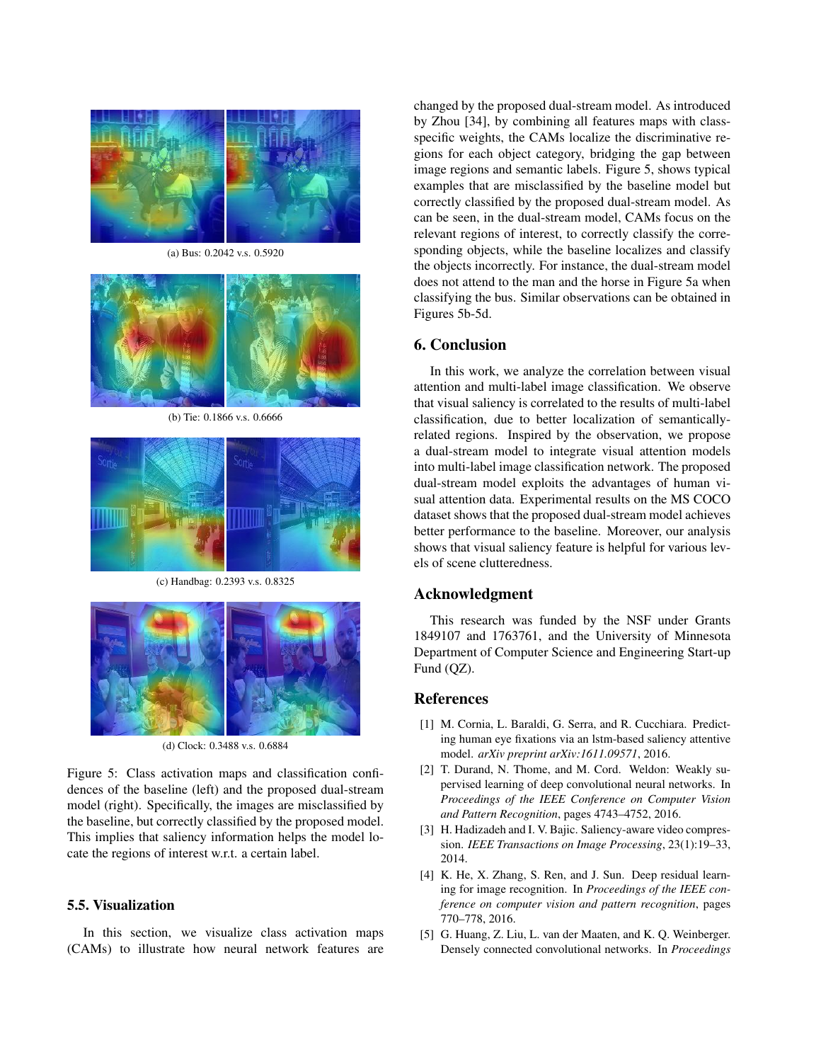

(a) Bus: 0.2042 v.s. 0.5920



(b) Tie: 0.1866 v.s. 0.6666



(c) Handbag: 0.2393 v.s. 0.8325



(d) Clock: 0.3488 v.s. 0.6884

Figure 5: Class activation maps and classification confidences of the baseline (left) and the proposed dual-stream model (right). Specifically, the images are misclassified by the baseline, but correctly classified by the proposed model. This implies that saliency information helps the model locate the regions of interest w.r.t. a certain label.

### 5.5. Visualization

In this section, we visualize class activation maps (CAMs) to illustrate how neural network features are changed by the proposed dual-stream model. As introduced by Zhou [34], by combining all features maps with classspecific weights, the CAMs localize the discriminative regions for each object category, bridging the gap between image regions and semantic labels. Figure 5, shows typical examples that are misclassified by the baseline model but correctly classified by the proposed dual-stream model. As can be seen, in the dual-stream model, CAMs focus on the relevant regions of interest, to correctly classify the corresponding objects, while the baseline localizes and classify the objects incorrectly. For instance, the dual-stream model does not attend to the man and the horse in Figure 5a when classifying the bus. Similar observations can be obtained in Figures 5b-5d.

## 6. Conclusion

In this work, we analyze the correlation between visual attention and multi-label image classification. We observe that visual saliency is correlated to the results of multi-label classification, due to better localization of semanticallyrelated regions. Inspired by the observation, we propose a dual-stream model to integrate visual attention models into multi-label image classification network. The proposed dual-stream model exploits the advantages of human visual attention data. Experimental results on the MS COCO dataset shows that the proposed dual-stream model achieves better performance to the baseline. Moreover, our analysis shows that visual saliency feature is helpful for various levels of scene clutteredness.

# Acknowledgment

This research was funded by the NSF under Grants 1849107 and 1763761, and the University of Minnesota Department of Computer Science and Engineering Start-up Fund (QZ).

### References

- [1] M. Cornia, L. Baraldi, G. Serra, and R. Cucchiara. Predicting human eye fixations via an lstm-based saliency attentive model. *arXiv preprint arXiv:1611.09571*, 2016.
- [2] T. Durand, N. Thome, and M. Cord. Weldon: Weakly supervised learning of deep convolutional neural networks. In *Proceedings of the IEEE Conference on Computer Vision and Pattern Recognition*, pages 4743–4752, 2016.
- [3] H. Hadizadeh and I. V. Bajic. Saliency-aware video compression. *IEEE Transactions on Image Processing*, 23(1):19–33, 2014.
- [4] K. He, X. Zhang, S. Ren, and J. Sun. Deep residual learning for image recognition. In *Proceedings of the IEEE conference on computer vision and pattern recognition*, pages 770–778, 2016.
- [5] G. Huang, Z. Liu, L. van der Maaten, and K. Q. Weinberger. Densely connected convolutional networks. In *Proceedings*